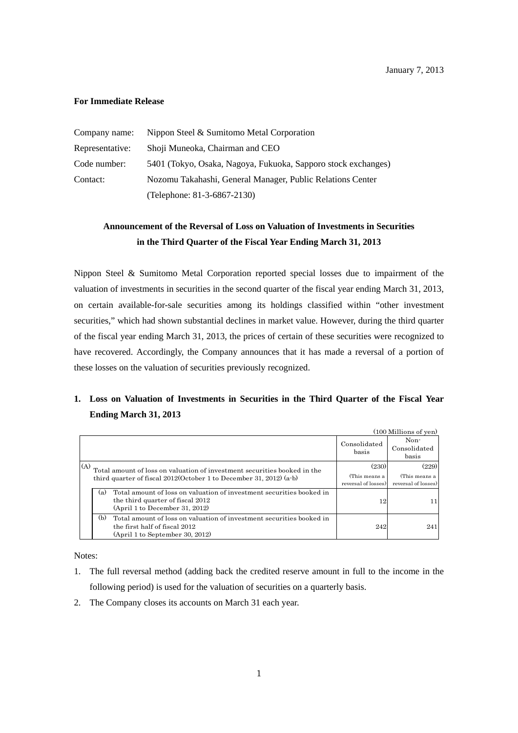#### **For Immediate Release**

| Company name:   | Nippon Steel & Sumitomo Metal Corporation                     |  |
|-----------------|---------------------------------------------------------------|--|
| Representative: | Shoji Muneoka, Chairman and CEO                               |  |
| Code number:    | 5401 (Tokyo, Osaka, Nagoya, Fukuoka, Sapporo stock exchanges) |  |
| Contact:        | Nozomu Takahashi, General Manager, Public Relations Center    |  |
|                 | (Telephone: 81-3-6867-2130)                                   |  |

# **Announcement of the Reversal of Loss on Valuation of Investments in Securities in the Third Quarter of the Fiscal Year Ending March 31, 2013**

Nippon Steel & Sumitomo Metal Corporation reported special losses due to impairment of the valuation of investments in securities in the second quarter of the fiscal year ending March 31, 2013, on certain available-for-sale securities among its holdings classified within "other investment securities," which had shown substantial declines in market value. However, during the third quarter of the fiscal year ending March 31, 2013, the prices of certain of these securities were recognized to have recovered. Accordingly, the Company announces that it has made a reversal of a portion of these losses on the valuation of securities previously recognized.

## **1. Loss on Valuation of Investments in Securities in the Third Quarter of the Fiscal Year Ending March 31, 2013**

|     | (100 Millions of yen)                                                                                                                             |                       |                               |
|-----|---------------------------------------------------------------------------------------------------------------------------------------------------|-----------------------|-------------------------------|
|     |                                                                                                                                                   | Consolidated<br>basis | Non-<br>Consolidated<br>basis |
| (A) | Total amount of loss on valuation of investment securities booked in the                                                                          | (230)                 | (229)                         |
|     | third quarter of fiscal $2012$ (October 1 to December 31, 2012) (a-b)                                                                             | (This means a         | (This means a                 |
|     |                                                                                                                                                   | reversal of losses)   | reversal of losses)           |
|     | Total amount of loss on valuation of investment securities booked in<br>(a)<br>the third quarter of fiscal 2012<br>(April 1 to December 31, 2012) | 12                    | 11                            |
|     | (b)<br>Total amount of loss on valuation of investment securities booked in<br>the first half of fiscal 2012<br>(April 1 to September 30, 2012)   | 242                   | 241                           |

Notes:

- 1. The full reversal method (adding back the credited reserve amount in full to the income in the following period) is used for the valuation of securities on a quarterly basis.
- 2. The Company closes its accounts on March 31 each year.